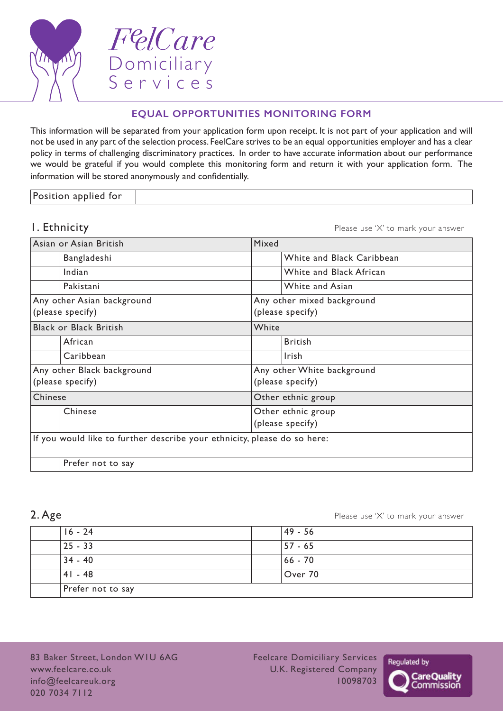

FelCare Domiciliary Services

# **EQUAL OPPORTUNITIES MONITORING FORM**

This information will be separated from your application form upon receipt. It is not part of your application and will not be used in any part of the selection process. FeelCare strives to be an equal opportunities employer and has a clear policy in terms of challenging discriminatory practices. In order to have accurate information about our performance we would be grateful if you would complete this monitoring form and return it with your application form. The information will be stored anonymously and confidentially.

Position applied for

**1. Ethnicity 1. Ethnicity 1. Ethnicity Please** use 'X' to mark your answer

| Asian or Asian British                                                   |                               | Mixed                      |                            |  |  |
|--------------------------------------------------------------------------|-------------------------------|----------------------------|----------------------------|--|--|
|                                                                          | Bangladeshi                   |                            | White and Black Caribbean  |  |  |
|                                                                          | Indian                        |                            | White and Black African    |  |  |
|                                                                          | Pakistani                     |                            | White and Asian            |  |  |
|                                                                          | Any other Asian background    |                            | Any other mixed background |  |  |
|                                                                          | (please specify)              |                            | (please specify)           |  |  |
|                                                                          | <b>Black or Black British</b> |                            | White                      |  |  |
|                                                                          | African                       |                            | <b>British</b>             |  |  |
|                                                                          | Caribbean                     |                            | Irish                      |  |  |
| Any other Black background                                               |                               | Any other White background |                            |  |  |
| (please specify)                                                         |                               | (please specify)           |                            |  |  |
| Chinese                                                                  |                               | Other ethnic group         |                            |  |  |
|                                                                          | Chinese                       |                            | Other ethnic group         |  |  |
|                                                                          |                               | (please specify)           |                            |  |  |
| If you would like to further describe your ethnicity, please do so here: |                               |                            |                            |  |  |
|                                                                          | Prefer not to say             |                            |                            |  |  |

2. Age **2.** Age **2.** Age **2.** Age **2.** Age **2.** Age **2.** Age **2.** Age **2.** Age **2.** Age **2.** Age **2.** Age **2.** Age **2.** Age **2.** Age **2.** Age **2.** Age **2.** Age **2.** Age **2.** Age **2.** Age **2.** Age **2.** Age **2.** Age **2.** Age

| $16 - 24$         | 49 - 56 |
|-------------------|---------|
| $ 25 - 33 $       | 57 - 65 |
| $34 - 40$         | 66 - 70 |
| $41 - 48$         | Over 70 |
| Prefer not to say |         |